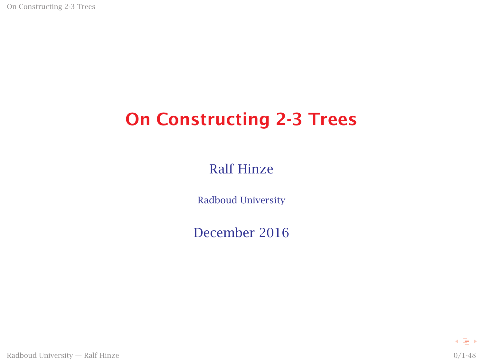On Constructing 2-3 Trees

# On Constructing 2-3 Trees

Ralf Hinze

Radboud University

December 2016

Radboud University — Ralf Hinze 0/1-48

4 동 )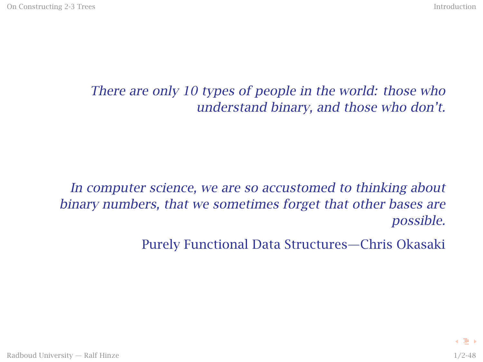#### There are only 10 types of people in the world: those who understand binary, and those who don't.

#### In computer science, we are so accustomed to thinking about binary numbers, that we sometimes forget that other bases are possible.

Purely Functional Data Structures—Chris Okasaki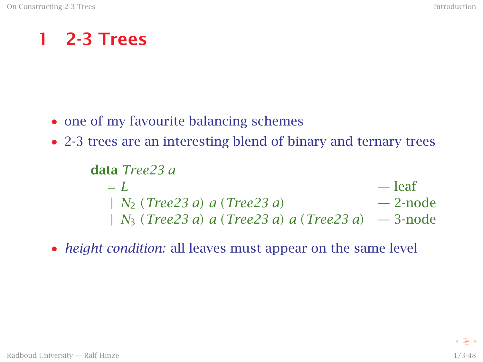#### 1 2-3 Trees

- one of my favourite balancing schemes
- 2-3 trees are an interesting blend of binary and ternary trees

data *Tree23 a*  $= L$  — leaf  $| N_2 (Tree23 a) a (Tree23 a)$  — 2-node | *N*<sup>3</sup> *(Tree23 a) a (Tree23 a) a (Tree23 a)* — 3-node

• *height condition:* all leaves must appear on the same level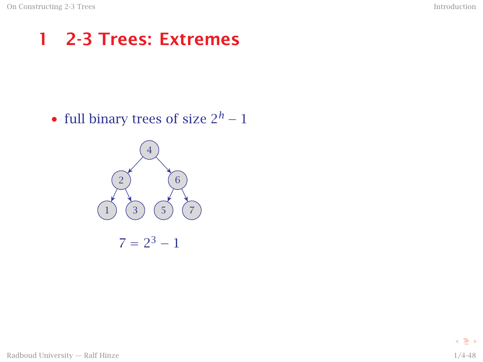### 1 2-3 Trees: Extremes

• full binary trees of size  $2^h - 1$ 

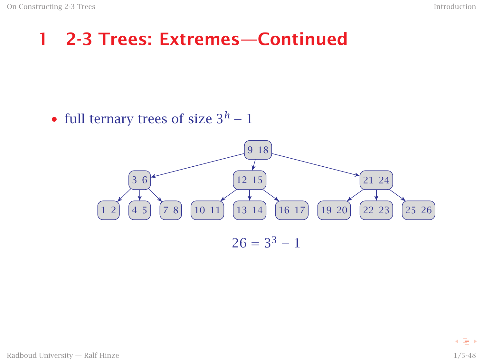#### 1 2-3 Trees: Extremes—Continued

• full ternary trees of size  $3<sup>h</sup> - 1$ 

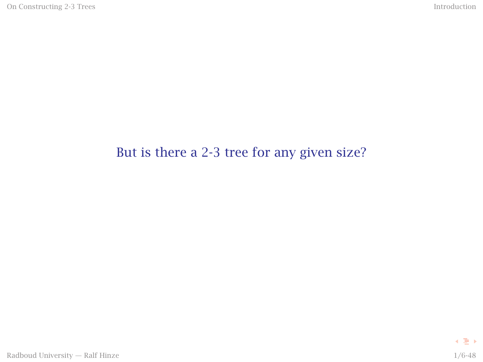#### But is there a 2-3 tree for any given size?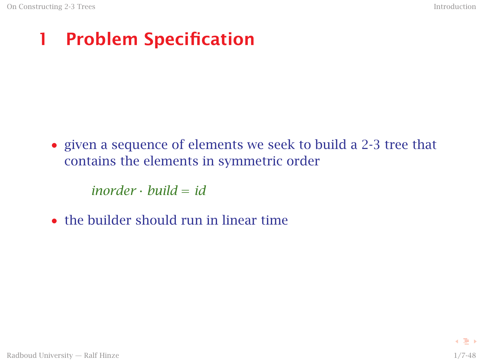# 1 Problem Specification

• given a sequence of elements we seek to build a 2-3 tree that contains the elements in symmetric order

*inorder* · *build* = *id*

• the builder should run in linear time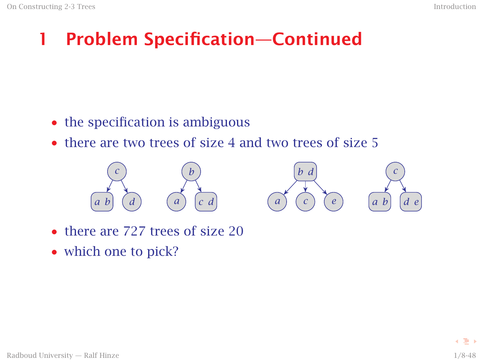# 1 Problem Specification—Continued

- the specification is ambiguous
- there are two trees of size 4 and two trees of size 5



- there are 727 trees of size 20
- which one to pick?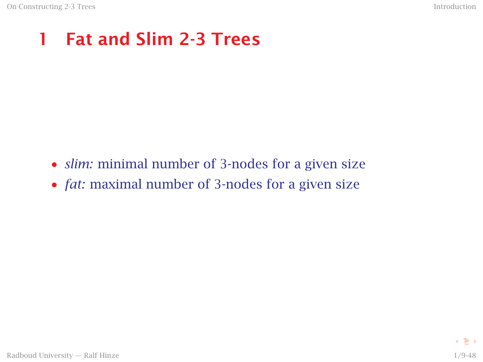# 1 Fat and Slim 2-3 Trees

- *slim:* minimal number of 3-nodes for a given size
- *fat:* maximal number of 3-nodes for a given size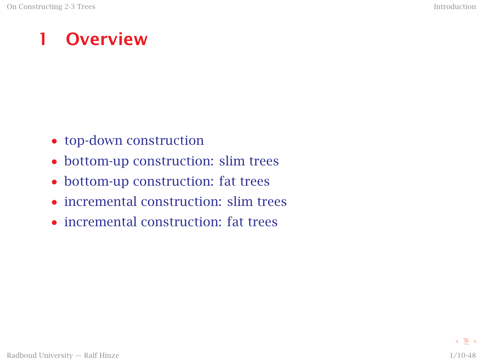### 1 Overview

- top-down construction
- bottom-up construction: slim trees
- bottom-up construction: fat trees
- incremental construction: slim trees
- incremental construction: fat trees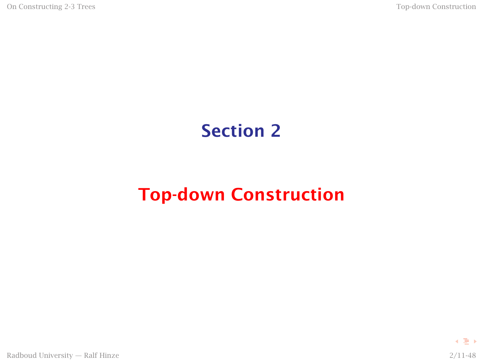### <span id="page-10-0"></span>Section 2

# [Top-down Construction](#page-10-0)

4 동 )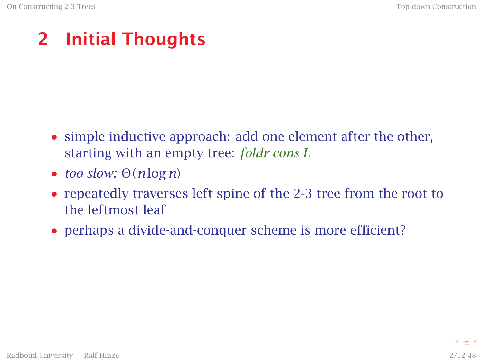# 2 Initial Thoughts

- simple inductive approach: add one element after the other, starting with an empty tree: *foldr cons L*
- *too slow:* <sup>Θ</sup>*(<sup>n</sup>* log *<sup>n</sup>)*
- repeatedly traverses left spine of the 2-3 tree from the root to the leftmost leaf
- perhaps a divide-and-conquer scheme is more efficient?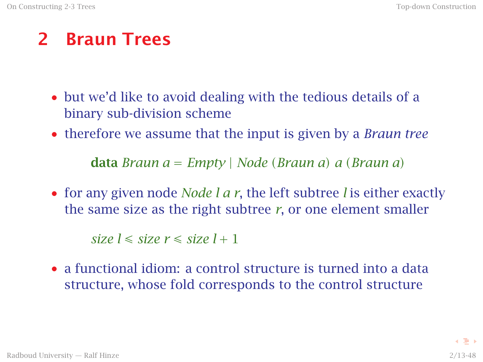#### 2 Braun Trees

- but we'd like to avoid dealing with the tedious details of a binary sub-division scheme
- therefore we assume that the input is given by a *Braun tree*

data *Braun a* = *Empty* | *Node (Braun a) a (Braun a)*

• for any given node *Node l a r*, the left subtree *l* is either exactly the same size as the right subtree *r*, or one element smaller

 $size l \leq size r \leq size l + 1$ 

• a functional idiom: a control structure is turned into a data structure, whose fold corresponds to the control structure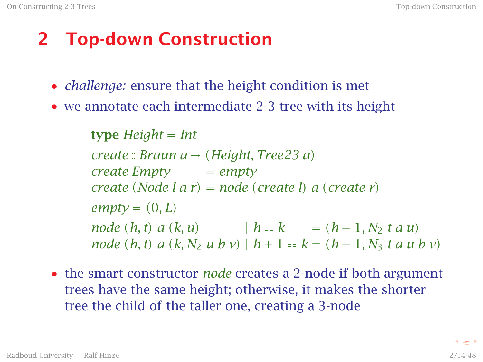# 2 Top-down Construction

- *challenge:* ensure that the height condition is met
- we annotate each intermediate 2-3 tree with its height

type *Height* = *Int create* :: *Braun a* → *(Height, Tree23 a) create Empty* = *empty create (Node l a r)* = *node (create l) a (create r)*  $empty = (0, L)$ *node*  $(h, t)$   $a (k, u)$   $|h = k$  =  $(h + 1, N_2 t a u)$ *node* (*h, t*)  $a$  (*k, N*<sub>2</sub> *u b v*) |  $h + 1 = k = (h + 1, N_3, t, a \leq h \leq v)$ 

• the smart constructor *node* creates a 2-node if both argument trees have the same height; otherwise, it makes the shorter tree the child of the taller one, creating a 3-node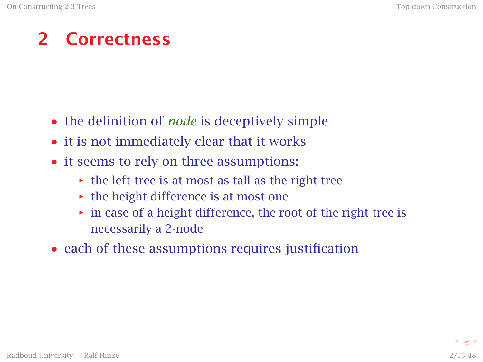### 2 Correctness

- the definition of *node* is deceptively simple
- it is not immediately clear that it works
- it seems to rely on three assumptions:
	- the left tree is at most as tall as the right tree
	- $\rightarrow$  the height difference is at most one
	- *i* in case of a height difference, the root of the right tree is necessarily a 2-node
- each of these assumptions requires justification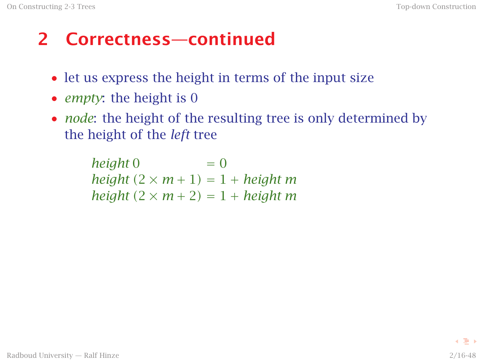# 2 Correctness—continued

- let us express the height in terms of the input size
- *empty*: the height is 0
- *node*: the height of the resulting tree is only determined by the height of the *left* tree

 $height 0 = 0$  $height (2 \times m + 1) = 1 + height m$  $height (2 \times m + 2) = 1 + height m$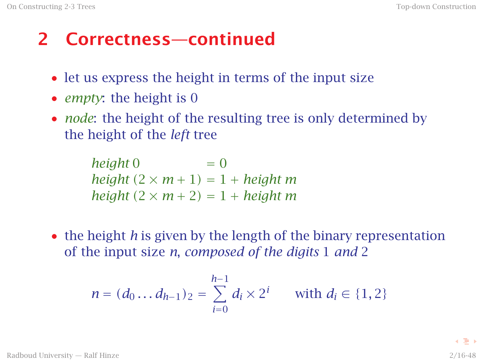# 2 Correctness—continued

- let us express the height in terms of the input size
- *empty*: the height is 0
- *node*: the height of the resulting tree is only determined by the height of the *left* tree

 $height 0 = 0$  $height (2 \times m + 1) = 1 + height m$  $height (2 \times m + 2) = 1 + height m$ 

• the height *h* is given by the length of the binary representation of the input size *n*, *composed of the digits* 1 *and* 2

$$
n = (d_0 \dots d_{h-1})_2 = \sum_{i=0}^{h-1} d_i \times 2^i \quad \text{with } d_i \in \{1, 2\}
$$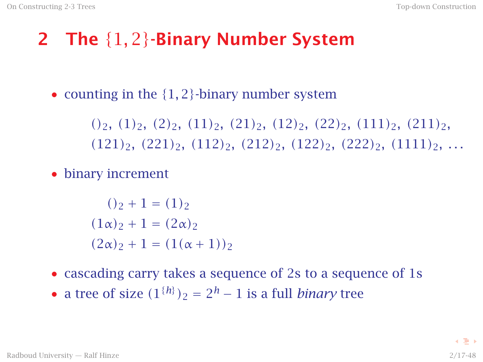# 2 The {1*,* 2}-Binary Number System

• counting in the  $\{1, 2\}$ -binary number system

*()*2*, (*1*)*2*, (*2*)*2*, (*11*)*2*, (*21*)*2*, (*12*)*2*, (*22*)*2*, (*111*)*2*, (*211*)*2*, (*121*)*2*, (*221*)*2*, (*112*)*2*, (*212*)*2*, (*122*)*2*, (*222*)*2*, (*1111*)*2*, . . .*

• binary increment

 $()_2 + 1 = (1)_2$  $(1\alpha)$ <sub>2</sub> + 1 =  $(2\alpha)$ <sub>2</sub>  $(2\alpha)_{2} + 1 = (1(\alpha + 1))_{2}$ 

- cascading carry takes a sequence of 2s to a sequence of 1s
- a tree of size  $(1^{\{h\}})_2 = 2^h 1$  is a full *binary* tree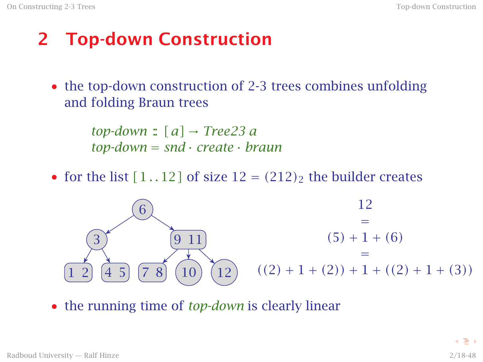# 2 Top-down Construction

• the top-down construction of 2-3 trees combines unfolding and folding Braun trees

> $top-down : [a] \rightarrow Tree23 a$ *top-down* = *snd* · *create* · *braun*

• for the list  $[1..12]$  of size  $12 = (212)_2$  the builder creates



• the running time of *top-down* is clearly linear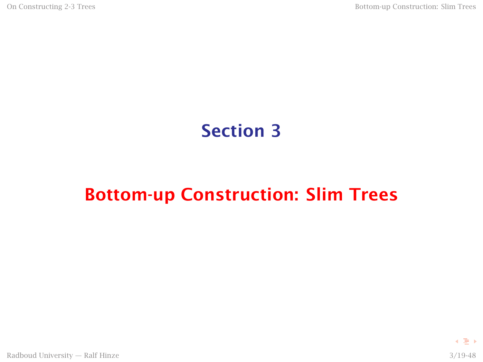### Section 3

### <span id="page-19-0"></span>[Bottom-up Construction: Slim Trees](#page-19-0)

す重き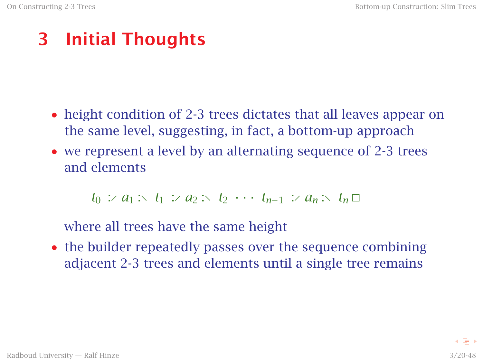# 3 Initial Thoughts

- height condition of 2-3 trees dictates that all leaves appear on the same level, suggesting, in fact, a bottom-up approach
- we represent a level by an alternating sequence of 2-3 trees and elements

 $t_0$  :⁄  $a_1$  : $\lt t_1$  :⁄  $a_2$  : $\lt t_2$  · · ·  $t_{n-1}$  :⁄  $a_n$  : $\lt t_n$   $\Box$ 

where all trees have the same height

• the builder repeatedly passes over the sequence combining adjacent 2-3 trees and elements until a single tree remains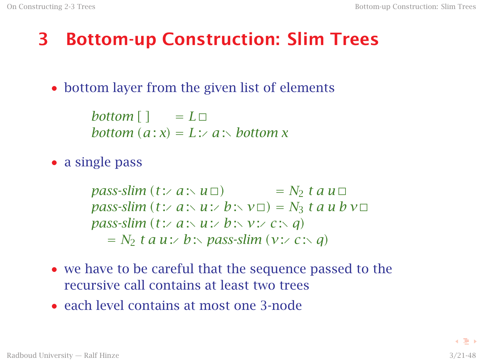# 3 Bottom-up Construction: Slim Trees

• bottom layer from the given list of elements

*bottom*  $\lceil \cdot \rceil = L \square$ *bottom*  $(a : x) = L : A : b$  *a k bottom x* 

• a single pass

 $pass\text{-}slim (t: a: \vee u \square)$  =  $N_2$  *t a u*  $\square$  $pass\text{-}slim (t\text{:} \angle a\text{:} \angle b\text{:} \angle v\text{)} = N_3 t a u b v\text{ }$ *pass-slim*  $(t: a : u : b : v : c : a)$  $N_2$  *t a u* :⁄ *b* :*\ pass-slim*  $(v: c : \leq q)$ 

- we have to be careful that the sequence passed to the recursive call contains at least two trees
- each level contains at most one 3-node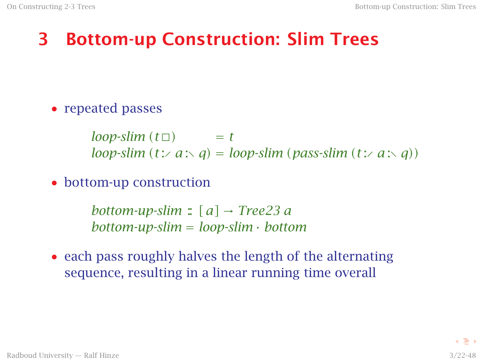# 3 Bottom-up Construction: Slim Trees

• repeated passes

 $loop\text{-}slim(t\Box)$  = *t loop-slim*  $(t \times a \times q) = loop\text{-}slim \text{ (pass-slim } (t \times a \times q)$ 

• bottom-up construction

*bottom-up-slim* ::  $[a] \rightarrow Tree23$  *a bottom-up-slim* = *loop-slim* · *bottom*

• each pass roughly halves the length of the alternating sequence, resulting in a linear running time overall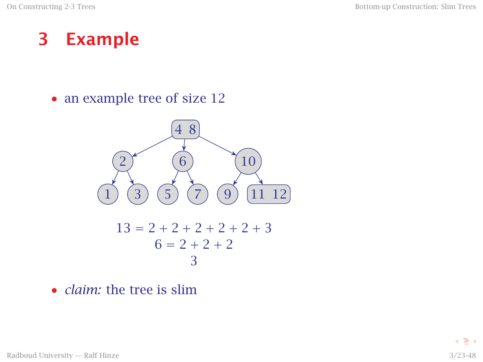#### 3 Example

• an example tree of size 12



• *claim:* the tree is slim

Radboud University — Ralf Hinze 3/23-48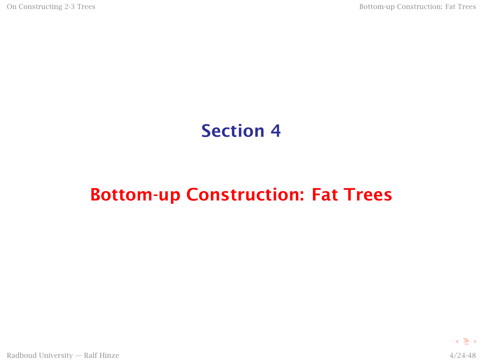### Section 4

### <span id="page-24-0"></span>[Bottom-up Construction: Fat Trees](#page-24-0)

す重き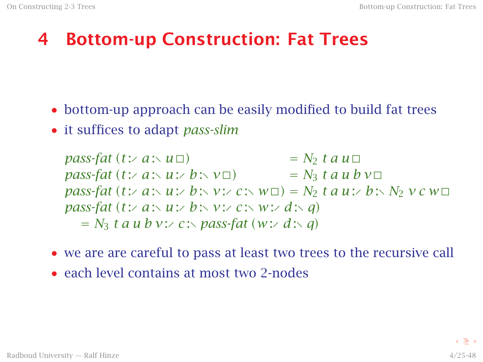# 4 Bottom-up Construction: Fat Trees

- bottom-up approach can be easily modified to build fat trees
- it suffices to adapt *pass-slim*

*pass-fat*  $(t: a : u$   $\Box)$  $= N_2$  *t a u*  $\Box$ *pass-fat*  $(t: a : u : b : v \square)$  =  $N_3$   $t a u b v \square$  $pass\text{-}fat$  (*t* :∕ *a* :∖ *u* :∕ *b* :∖ *v* :⁄ *c* :∖ *w* $\Box$ ) =  $N_2$  *t a u* :∕ *b* :∖  $N_2$  *v c w* $\Box$ *pass-fat*  $(t: a : u : b : v : c : w : d : a)$  $N_3$  **t** a u b v: $\angle$  c: $\triangle$  pass-fat  $(w: \angle d: \triangle q)$ 

- we are are careful to pass at least two trees to the recursive call
- each level contains at most two 2-nodes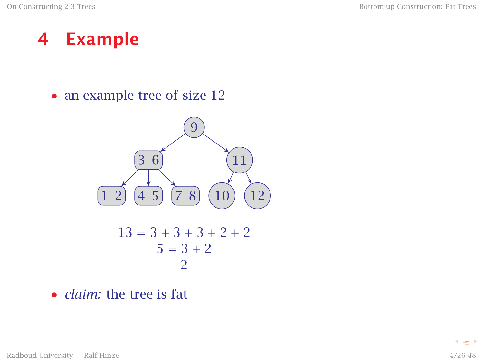#### 4 Example

• an example tree of size 12



• *claim:* the tree is fat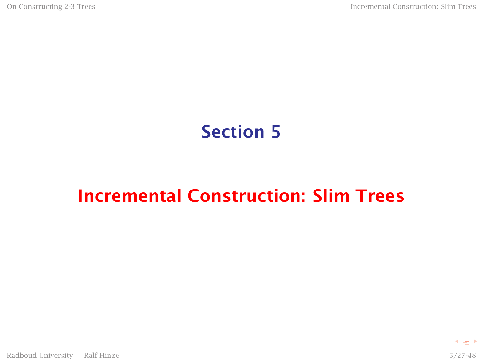### Section 5

### <span id="page-27-0"></span>[Incremental Construction: Slim Trees](#page-27-0)

Radboud University — Ralf Hinze 5/27-48

4 로 )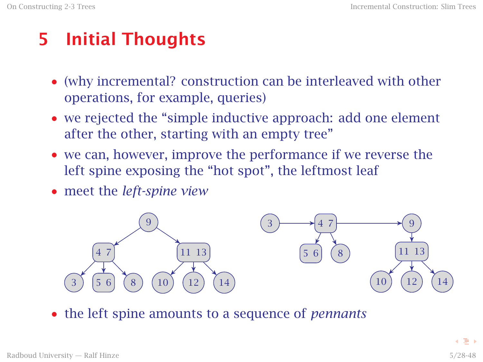# 5 Initial Thoughts

- (why incremental? construction can be interleaved with other operations, for example, queries)
- we rejected the "simple inductive approach: add one element after the other, starting with an empty tree"
- we can, however, improve the performance if we reverse the left spine exposing the "hot spot", the leftmost leaf
- meet the *left-spine view*



• the left spine amounts to a sequence of *pennants*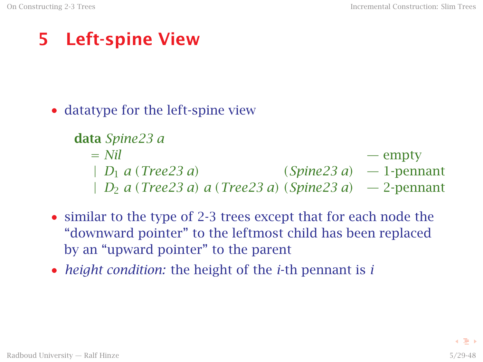# 5 Left-spine View

• datatype for the left-spine view

```
data Spine23 a
= Nil — empty
 | D_1 a (Tree23 a) (Spine23 a) -1-pennant| D2 a (Tree23 a) a (Tree23 a) (Spine23 a) — 2-pennant
```
- similar to the type of 2-3 trees except that for each node the "downward pointer" to the leftmost child has been replaced by an "upward pointer" to the parent
- *height condition:* the height of the *i*-th pennant is *i*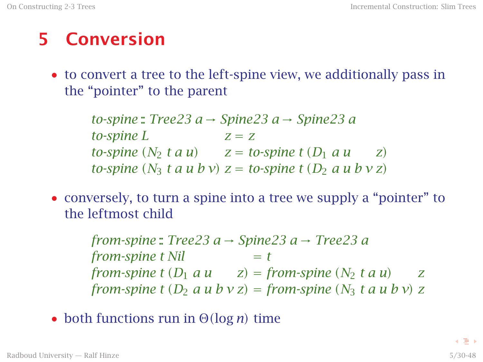### 5 Conversion

• to convert a tree to the left-spine view, we additionally pass in the "pointer" to the parent

> *to-spine* :: *Tree23 a* → *Spine23 a* → *Spine23 a to-spine*  $L$   $z = z$ *to-spine*  $(N_2 \, t \, a \, u)$   $z = to$ *-spine*  $t \, (D_1 \, a \, u \, z)$ *to-spine*  $(N_3$  *t a u b v* $)$  *z = to-spine t*  $(D_2$  *a u b v z* $)$

• conversely, to turn a spine into a tree we supply a "pointer" to the leftmost child

> *from-spine* :: *Tree23 a* → *Spine23 a* → *Tree23 a from-spine t Nil*  $= t$ *from-spine*  $t$   $(D_1 \, a \, u \qquad z) = from-spine (N_2 \, t \, a \, u) \qquad z$ *from-spine*  $t$   $(D_2 \, a \, u \, b \, v \, z) = from \, simple \, (N_3 \, t \, a \, u \, b \, v) \, z$

• both functions run in <sup>Θ</sup>*(*log *<sup>n</sup>)* time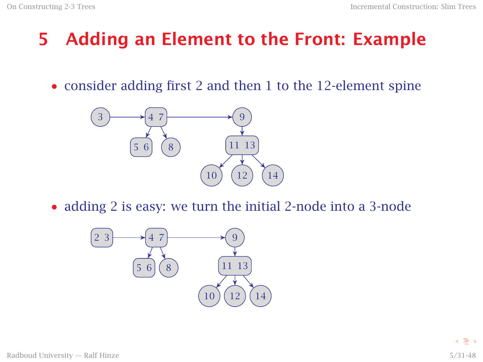# 5 Adding an Element to the Front: Example

• consider adding first 2 and then 1 to the 12-element spine



• adding 2 is easy: we turn the initial 2-node into a 3-node

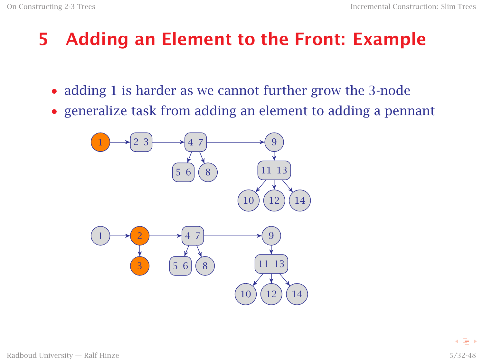# 5 Adding an Element to the Front: Example

- adding 1 is harder as we cannot further grow the 3-node
- generalize task from adding an element to adding a pennant

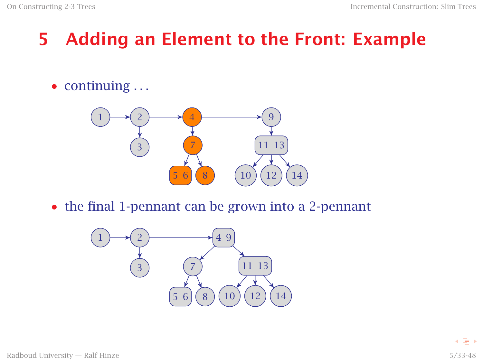# 5 Adding an Element to the Front: Example

 $\bullet$  continuing  $\dots$ 



• the final 1-pennant can be grown into a 2-pennant

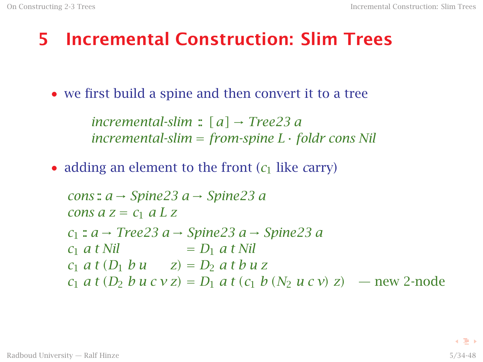### 5 Incremental Construction: Slim Trees

• we first build a spine and then convert it to a tree

*incremental-slim* :  $[a] \rightarrow Tree23 a$ *incremental-slim* = *from-spine L* · *foldr cons Nil*

• adding an element to the front  $(c_1$  like *carry*)

$$
cons : a → Spine23 a → Spine23 a
$$
  
\n
$$
cons a z = c_1 a L z
$$
  
\n
$$
c_1 : a → Tree23 a → Spine23 a → Spine23 a
$$
  
\n
$$
c_1 a t Nil = D_1 a t Nil
$$
  
\n
$$
c_1 a t (D_1 bu = z) = D_2 a t bu z
$$
  
\n
$$
c_1 a t (D_2 bu cvz) = D_1 a t (c_1 b (N_2 u cv) z) — new 2-node
$$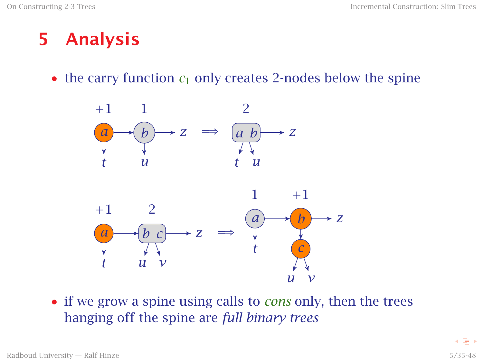### 5 Analysis

• the carry function  $c_1$  only creates 2-nodes below the spine



• if we grow a spine using calls to *cons* only, then the trees hanging off the spine are *full binary trees*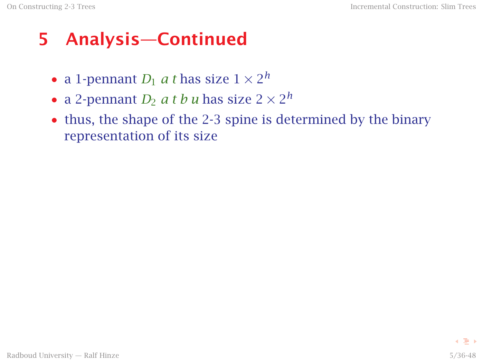### 5 Analysis—Continued

- a 1-pennant  $D_1$  *a t* has size  $1 \times 2^h$
- a 2-pennant  $D_2$  *a t b u* has size  $2 \times 2^h$
- thus, the shape of the 2-3 spine is determined by the binary representation of its size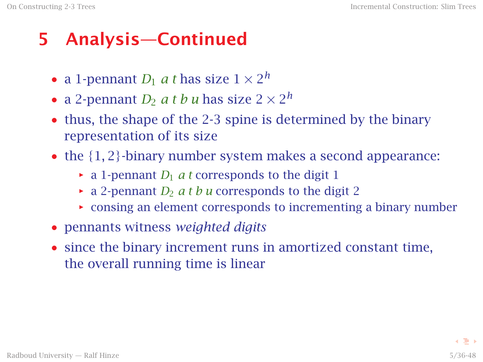# 5 Analysis—Continued

- a 1-pennant  $D_1$  *a t* has size  $1 \times 2^h$
- a 2-pennant  $D_2$  *a t b u* has size  $2 \times 2^h$
- thus, the shape of the 2-3 spine is determined by the binary representation of its size
- the  $\{1, 2\}$ -binary number system makes a second appearance:
	- $\rightarrow$  a 1-pennant *D*<sub>1</sub> *a t* corresponds to the digit 1
	- $\rightarrow$  a 2-pennant *D*<sub>2</sub> *a t b u* corresponds to the digit 2
	- $\rightarrow$  consing an element corresponds to incrementing a binary number
- pennants witness *weighted digits*
- since the binary increment runs in amortized constant time, the overall running time is linear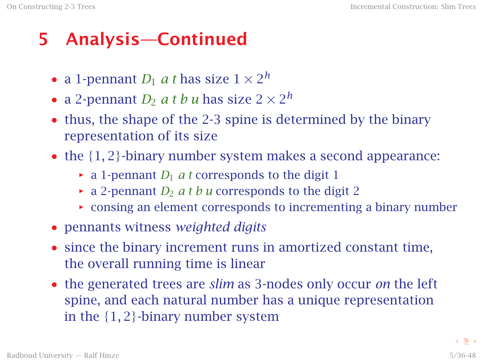# 5 Analysis—Continued

- a 1-pennant  $D_1$  *a t* has size  $1 \times 2^h$
- a 2-pennant  $D_2$  *a t b u* has size  $2 \times 2^h$
- thus, the shape of the 2-3 spine is determined by the binary representation of its size
- the  $\{1, 2\}$ -binary number system makes a second appearance:
	- $\rightarrow$  a 1-pennant *D*<sub>1</sub> *a t* corresponds to the digit 1
	- $\rightarrow$  a 2-pennant *D*<sub>2</sub> *a t b u* corresponds to the digit 2
	- $\rightarrow$  consing an element corresponds to incrementing a binary number
- pennants witness *weighted digits*
- since the binary increment runs in amortized constant time, the overall running time is linear
- the generated trees are *slim* as 3-nodes only occur *on* the left spine, and each natural number has a unique representation in the {1*,* 2}-binary number system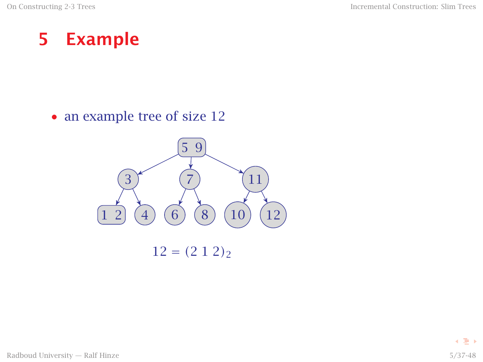#### 5 Example

• an example tree of size 12

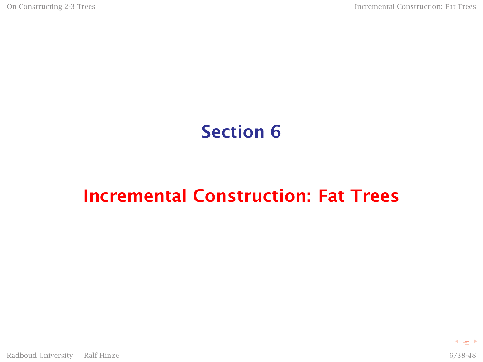### Section 6

### <span id="page-40-0"></span>[Incremental Construction: Fat Trees](#page-40-0)

4 로 )

Radboud University — Ralf Hinze 6/38-48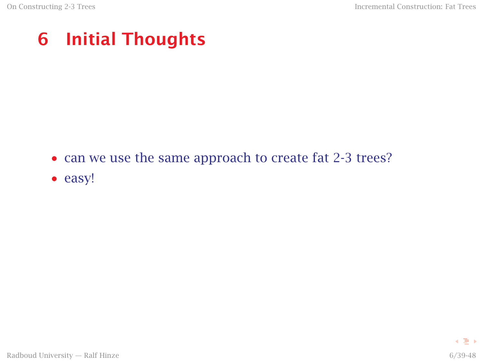# 6 Initial Thoughts

- can we use the same approach to create fat 2-3 trees?
- easy!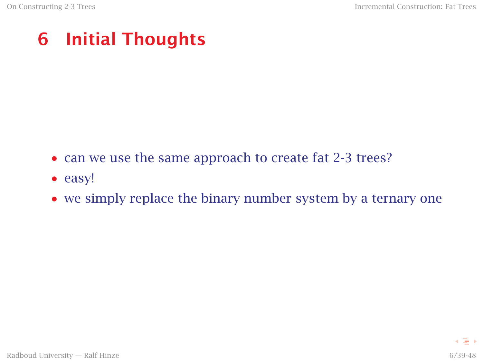# 6 Initial Thoughts

- can we use the same approach to create fat 2-3 trees?
- easy!
- we simply replace the binary number system by a ternary one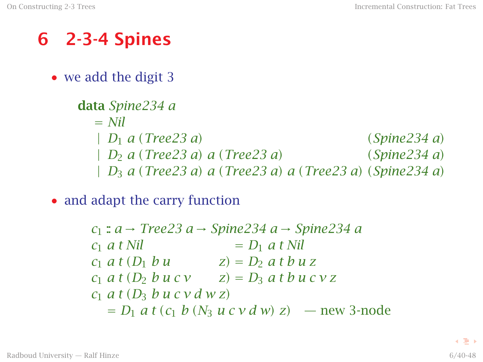### 6 2-3-4 Spines

• we add the digit 3

```
data Spine234 a
 = Nil
 | D1 a (Tree23 a) (Spine234 a)
 | D2 a (Tree23 a) a (Tree23 a) (Spine234 a)
 | D3 a (Tree23 a) a (Tree23 a) a (Tree23 a) (Spine234 a)
```
• and adapt the carry function

*c*<sup>1</sup> :: *a* → *Tree23 a* → *Spine234 a* → *Spine234 a*  $c_1$  *a* t Nil  $= D_1$  *a* t Nil  $c_1$  *a*  $t$   $(D_1$  *b*  $u$   $z) = D_2$  *a*  $t$  *b*  $u$  *z*  $c_1$  *a t* (*D*<sub>2</sub> *b u c v z z*) = *D*<sub>3</sub> *a t b u c v z c*<sup>1</sup> *a t (D*<sup>3</sup> *b u c v d w z)*  $= D_1$  *a t* (*c*<sub>1</sub> *b* (*N*<sub>3</sub> *u c v d w*) *z*) — new 3-node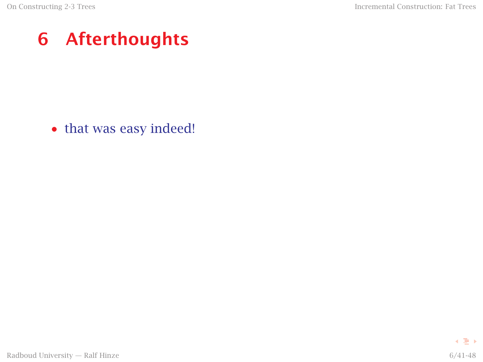• that was easy indeed!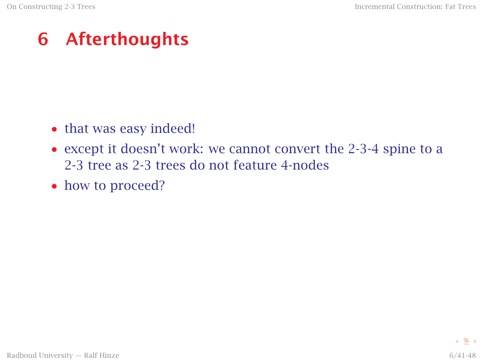- that was easy indeed!
- except it doesn't work: we cannot convert the 2-3-4 spine to a 2-3 tree as 2-3 trees do not feature 4-nodes
- how to proceed?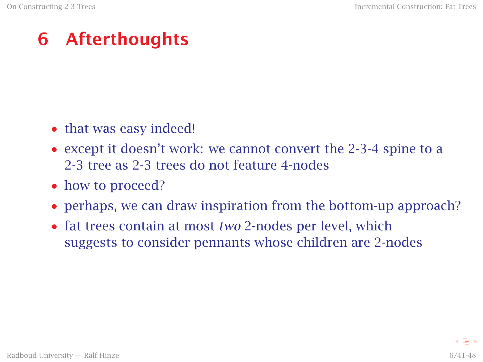- that was easy indeed!
- except it doesn't work: we cannot convert the 2-3-4 spine to a 2-3 tree as 2-3 trees do not feature 4-nodes
- how to proceed?
- perhaps, we can draw inspiration from the bottom-up approach?
- fat trees contain at most *two* 2-nodes per level, which suggests to consider pennants whose children are 2-nodes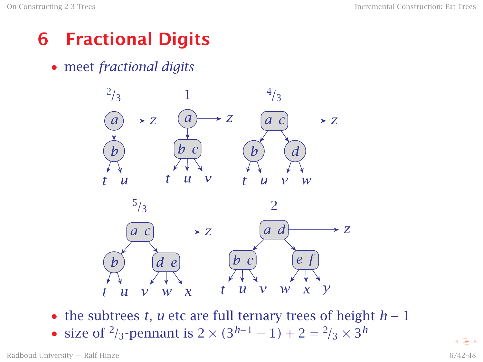# 6 Fractional Digits

• meet *fractional digits*



• the subtrees *t*, *u* etc are full ternary trees of height *h* − 1

• size of <sup>2</sup>/<sub>3</sub>-pennant is 2 ×  $(3<sup>h-1</sup> – 1) + 2 = <sup>2</sup>/3 × 3<sup>h</sup>$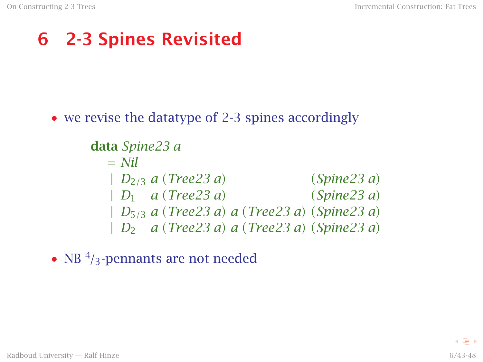# 6 2-3 Spines Revisited

• we revise the datatype of 2-3 spines accordingly

```
data Spine23 a
 = Nil
 | D2/3 a (Tree23 a) (Spine23 a)
 | D1 a (Tree23 a) (Spine23 a)
 | D5/3 a (Tree23 a) a (Tree23 a) (Spine23 a)
 | D2 a (Tree23 a) a (Tree23 a) (Spine23 a)
```
• NB<sup>4</sup>/<sub>3</sub>-pennants are not needed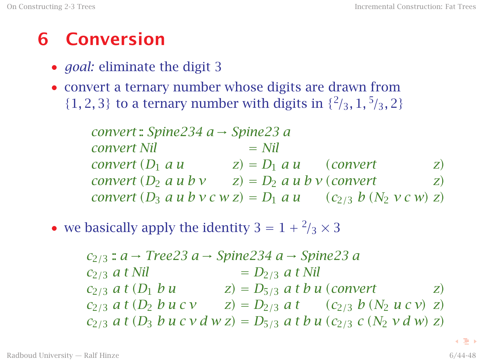### 6 Conversion

- *goal:* eliminate the digit 3
- convert a ternary number whose digits are drawn from  $\{1, 2, 3\}$  to a ternary number with digits in  $\{2/3, 1, 5/3, 2\}$

*convert* :: *Spine234 a* → *Spine23 a convert Nil*  $=$  *Nil convert*  $(D_1 \ a \ u \ z) = D_1 \ a \ u \ (convert \ z)$ *convert*  $(D_2 \ a \ u \ b \ v \qquad z) = D_2 \ a \ u \ b \ v \ (convert \qquad z)$ *convert*  $(D_3 \ a \ u \ b \ v \ c \ w \ z) = D_1 \ a \ u \qquad (c_{2/3} \ b \ (N_2 \ v \ c \ w) \ z)$ 

• we basically apply the identity  $3 = 1 + \frac{2}{3} \times 3$ 

*c*2*/*<sup>3</sup> :: *a* → *Tree23 a* → *Spine234 a* → *Spine23 a*  $c_{2/3}$  *a t Nil* =  $D_{2/3}$  *a t Nil*  $c_{2/3}$  *a t*  $(D_1$  *b u*  $z) = D_{5/3}$  *a t b u* (*convert* z)  $c_{2/3}$  *a t* (*D*<sub>2</sub> *b u c v z*) = *D*<sub>2/3</sub> *a t* (*c*<sub>2/3</sub> *b* (*N*<sub>2</sub> *u c v*) *z*)  $c_{2/3}$  *a t* (*D*<sub>3</sub> *b u c v d w z*) = *D*<sub>5/3</sub> *a t b u* (*c*<sub>2/3</sub> *c* (*N*<sub>2</sub> *v d w*) *z*)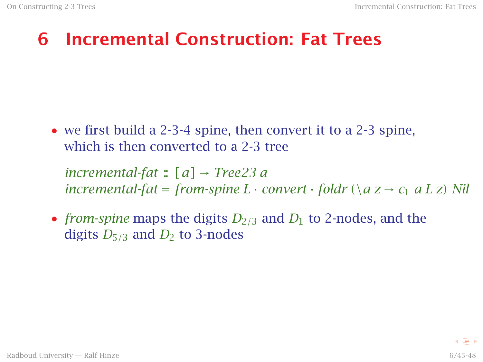# 6 Incremental Construction: Fat Trees

• we first build a 2-3-4 spine, then convert it to a 2-3 spine, which is then converted to a 2-3 tree

*incremental-fat*  $\colon [a] \rightarrow Tree23$  *a incremental-fat* = *from-spine*  $L \cdot$  *convert*  $\cdot$  *foldr* ( $\langle a \, z \rightarrow c_1 \, a \, L \, z \rangle$  Nil

• *from-spine* maps the digits *D*2*/*<sup>3</sup> and *D*<sup>1</sup> to 2-nodes, and the digits  $D_{5/3}$  and  $D_2$  to 3-nodes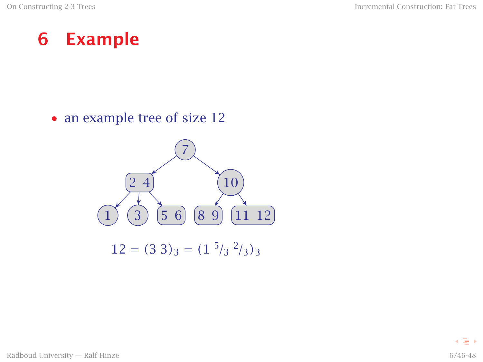#### 6 Example

• an example tree of size 12

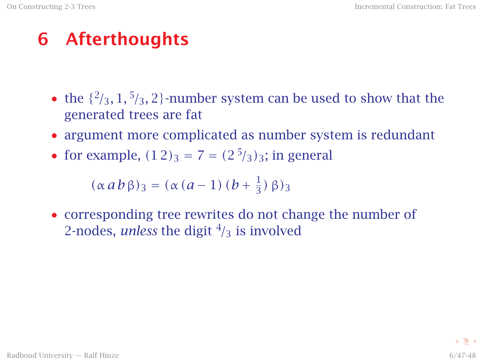- the  $\{2/3, 1, 5/3, 2\}$ -number system can be used to show that the generated trees are fat
- argument more complicated as number system is redundant
- for example,  $(1\,2)_3 = 7 = (2\,5/3)_3$ ; in general

 $(\alpha a b \beta)_3 = (\alpha (a-1) (b + \frac{1}{3})$  $\frac{1}{3}$ ) β)<sub>3</sub>

• corresponding tree rewrites do not change the number of 2-nodes, *unless* the digit  $\frac{4}{3}$  is involved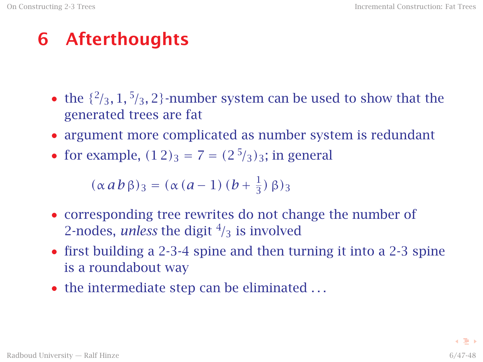- the  $\{2/3, 1, 5/3, 2\}$ -number system can be used to show that the generated trees are fat
- argument more complicated as number system is redundant
- for example,  $(1\,2)_3 = 7 = (2\,5/3)_3$ ; in general

 $(\alpha a b \beta)_3 = (\alpha (a-1) (b + \frac{1}{3})$  $\frac{1}{3}$ ) β)<sub>3</sub>

- corresponding tree rewrites do not change the number of 2-nodes, *unless* the digit  $\frac{4}{3}$  is involved
- first building a 2-3-4 spine and then turning it into a 2-3 spine is a roundabout way
- the intermediate step can be eliminated ...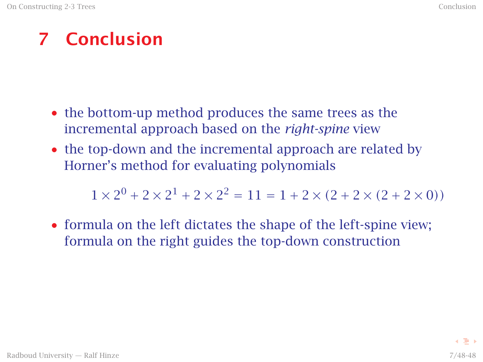### 7 Conclusion

- the bottom-up method produces the same trees as the incremental approach based on the *right-spine* view
- the top-down and the incremental approach are related by Horner's method for evaluating polynomials

 $1 \times 2^0 + 2 \times 2^1 + 2 \times 2^2 = 11 = 1 + 2 \times (2 + 2 \times (2 + 2 \times 0))$ 

• formula on the left dictates the shape of the left-spine view; formula on the right guides the top-down construction